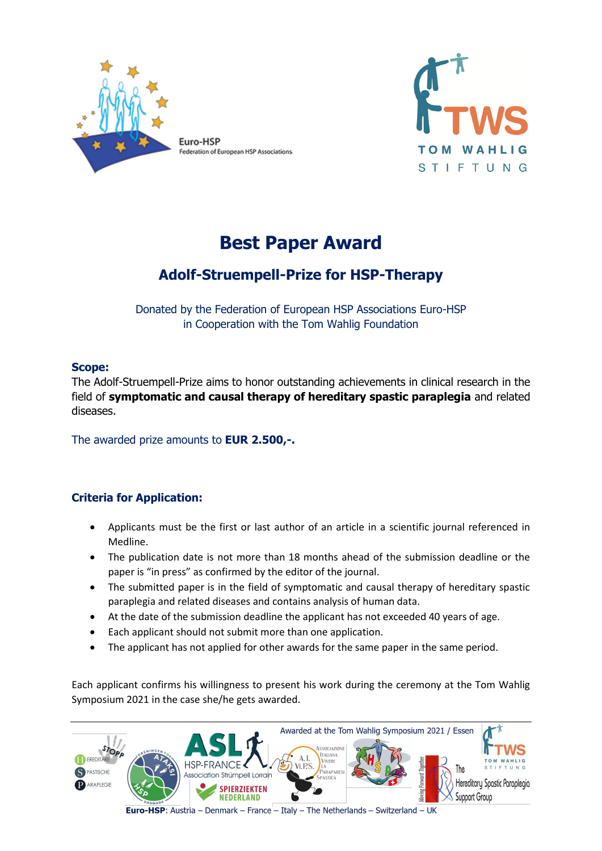

Federation of European HSP Associations



# **Best Paper Award**

# **Adolf-Struempell-Prize for HSP-Therapy**

Donated by the Federation of European HSP Associations Euro-HSP in Cooperation with the Tom Wahlig Foundation

#### **Scope:**

The Adolf-Struempell-Prize aims to honor outstanding achievements in clinical research in the field of **symptomatic and causal therapy of hereditary spastic paraplegia** and related diseases.

The awarded prize amounts to **EUR 2.500,-.**

### **Criteria for Application:**

- Applicants must be the first or last author of an article in a scientific journal referenced in Medline.
- The publication date is not more than 18 months ahead of the submission deadline or the paper is "in press" as confirmed by the editor of the journal.
- The submitted paper is in the field of symptomatic and causal therapy of hereditary spastic paraplegia and related diseases and contains analysis of human data.
- At the date of the submission deadline the applicant has not exceeded 40 years of age.
- Each applicant should not submit more than one application.
- The applicant has not applied for other awards for the same paper in the same period.

Each applicant confirms his willingness to present his work during the ceremony at the Tom Wahlig Symposium 2021 in the case she/he gets awarded.